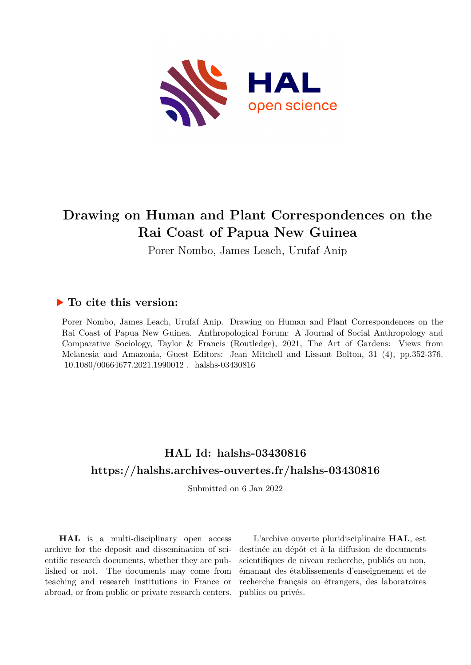

# **Drawing on Human and Plant Correspondences on the Rai Coast of Papua New Guinea**

Porer Nombo, James Leach, Urufaf Anip

# **To cite this version:**

Porer Nombo, James Leach, Urufaf Anip. Drawing on Human and Plant Correspondences on the Rai Coast of Papua New Guinea. Anthropological Forum: A Journal of Social Anthropology and Comparative Sociology, Taylor & Francis (Routledge), 2021, The Art of Gardens: Views from Melanesia and Amazonia, Guest Editors: Jean Mitchell and Lissant Bolton, 31 (4), pp.352-376.  $10.1080/00664677.2021.1990012$ . halshs-03430816

# **HAL Id: halshs-03430816 <https://halshs.archives-ouvertes.fr/halshs-03430816>**

Submitted on 6 Jan 2022

**HAL** is a multi-disciplinary open access archive for the deposit and dissemination of scientific research documents, whether they are published or not. The documents may come from teaching and research institutions in France or abroad, or from public or private research centers.

L'archive ouverte pluridisciplinaire **HAL**, est destinée au dépôt et à la diffusion de documents scientifiques de niveau recherche, publiés ou non, émanant des établissements d'enseignement et de recherche français ou étrangers, des laboratoires publics ou privés.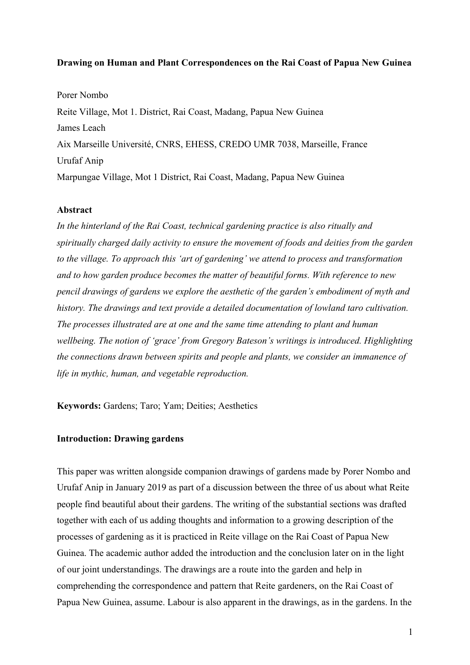# **Drawing on Human and Plant Correspondences on the Rai Coast of Papua New Guinea**

Porer Nombo Reite Village, Mot 1. District, Rai Coast, Madang, Papua New Guinea James Leach Aix Marseille Université, CNRS, EHESS, CREDO UMR 7038, Marseille, France Urufaf Anip Marpungae Village, Mot 1 District, Rai Coast, Madang, Papua New Guinea

### **Abstract**

*In the hinterland of the Rai Coast, technical gardening practice is also ritually and spiritually charged daily activity to ensure the movement of foods and deities from the garden to the village. To approach this 'art of gardening' we attend to process and transformation and to how garden produce becomes the matter of beautiful forms. With reference to new pencil drawings of gardens we explore the aesthetic of the garden's embodiment of myth and history. The drawings and text provide a detailed documentation of lowland taro cultivation. The processes illustrated are at one and the same time attending to plant and human wellbeing. The notion of 'grace' from Gregory Bateson's writings is introduced. Highlighting the connections drawn between spirits and people and plants, we consider an immanence of life in mythic, human, and vegetable reproduction.*

**Keywords:** Gardens; Taro; Yam; Deities; Aesthetics

#### **Introduction: Drawing gardens**

This paper was written alongside companion drawings of gardens made by Porer Nombo and Urufaf Anip in January 2019 as part of a discussion between the three of us about what Reite people find beautiful about their gardens. The writing of the substantial sections was drafted together with each of us adding thoughts and information to a growing description of the processes of gardening as it is practiced in Reite village on the Rai Coast of Papua New Guinea. The academic author added the introduction and the conclusion later on in the light of our joint understandings. The drawings are a route into the garden and help in comprehending the correspondence and pattern that Reite gardeners, on the Rai Coast of Papua New Guinea, assume. Labour is also apparent in the drawings, as in the gardens. In the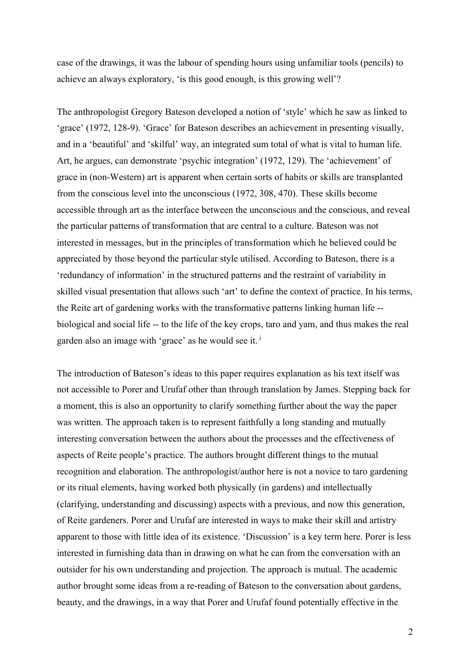case of the drawings, it was the labour of spending hours using unfamiliar tools (pencils) to achieve an always exploratory, 'is this good enough, is this growing well'?

The anthropologist Gregory Bateson developed a notion of 'style' which he saw as linked to 'grace' (1972, 128-9). 'Grace' for Bateson describes an achievement in presenting visually, and in a 'beautiful' and 'skilful' way, an integrated sum total of what is vital to human life. Art, he argues, can demonstrate 'psychic integration' (1972, 129). The 'achievement' of grace in (non-Western) art is apparent when certain sorts of habits or skills are transplanted from the conscious level into the unconscious (1972, 308, 470). These skills become accessible through art as the interface between the unconscious and the conscious, and reveal the particular patterns of transformation that are central to a culture. Bateson was not interested in messages, but in the principles of transformation which he believed could be appreciated by those beyond the particular style utilised. According to Bateson, there is a 'redundancy of information' in the structured patterns and the restraint of variability in skilled visual presentation that allows such 'art' to define the context of practice. In his terms, the Reite art of gardening works with the transformative patterns linking human life - biological and social life -- to the life of the key crops, taro and yam, and thus makes the real garden also an image with 'grace' as he would see it. <sup>i</sup>

The introduction of Bateson's ideas to this paper requires explanation as his text itself was not accessible to Porer and Urufaf other than through translation by James. Stepping back for a moment, this is also an opportunity to clarify something further about the way the paper was written. The approach taken is to represent faithfully a long standing and mutually interesting conversation between the authors about the processes and the effectiveness of aspects of Reite people's practice. The authors brought different things to the mutual recognition and elaboration. The anthropologist/author here is not a novice to taro gardening or its ritual elements, having worked both physically (in gardens) and intellectually (clarifying, understanding and discussing) aspects with a previous, and now this generation, of Reite gardeners. Porer and Urufaf are interested in ways to make their skill and artistry apparent to those with little idea of its existence. 'Discussion' is a key term here. Porer is less interested in furnishing data than in drawing on what he can from the conversation with an outsider for his own understanding and projection. The approach is mutual. The academic author brought some ideas from a re-reading of Bateson to the conversation about gardens, beauty, and the drawings, in a way that Porer and Urufaf found potentially effective in the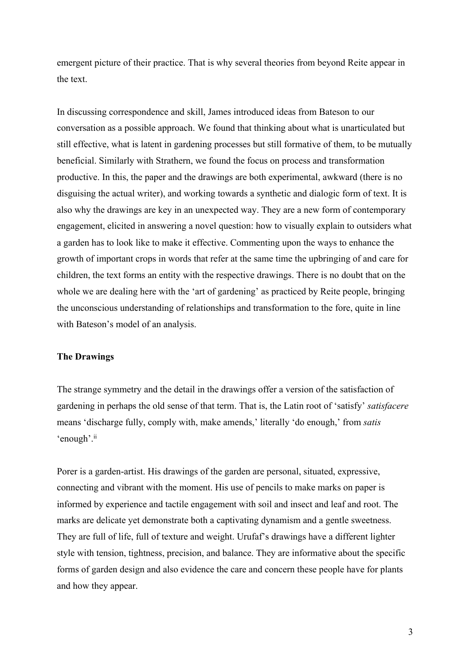emergent picture of their practice. That is why several theories from beyond Reite appear in the text.

In discussing correspondence and skill, James introduced ideas from Bateson to our conversation as a possible approach. We found that thinking about what is unarticulated but still effective, what is latent in gardening processes but still formative of them, to be mutually beneficial. Similarly with Strathern, we found the focus on process and transformation productive. In this, the paper and the drawings are both experimental, awkward (there is no disguising the actual writer), and working towards a synthetic and dialogic form of text. It is also why the drawings are key in an unexpected way. They are a new form of contemporary engagement, elicited in answering a novel question: how to visually explain to outsiders what a garden has to look like to make it effective. Commenting upon the ways to enhance the growth of important crops in words that refer at the same time the upbringing of and care for children, the text forms an entity with the respective drawings. There is no doubt that on the whole we are dealing here with the 'art of gardening' as practiced by Reite people, bringing the unconscious understanding of relationships and transformation to the fore, quite in line with Bateson's model of an analysis.

## **The Drawings**

The strange symmetry and the detail in the drawings offer a version of the satisfaction of gardening in perhaps the old sense of that term. That is, the Latin root of 'satisfy' *satisfacere* means 'discharge fully, comply with, make amends,' literally 'do enough,' from *satis* 'enough'.<sup>ii</sup>

Porer is a garden-artist. His drawings of the garden are personal, situated, expressive, connecting and vibrant with the moment. His use of pencils to make marks on paper is informed by experience and tactile engagement with soil and insect and leaf and root. The marks are delicate yet demonstrate both a captivating dynamism and a gentle sweetness. They are full of life, full of texture and weight. Urufaf's drawings have a different lighter style with tension, tightness, precision, and balance. They are informative about the specific forms of garden design and also evidence the care and concern these people have for plants and how they appear.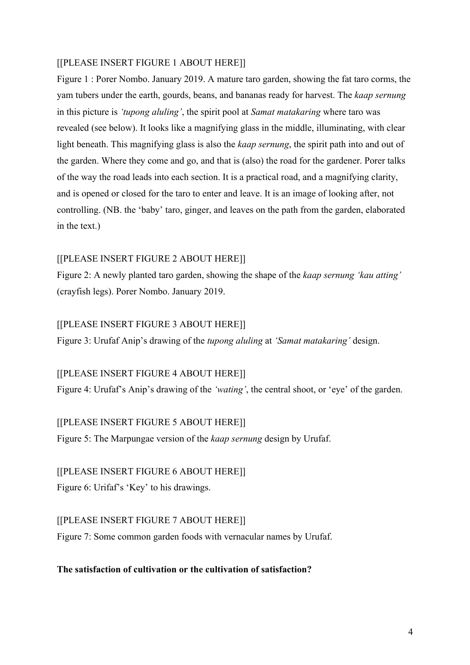### [[PLEASE INSERT FIGURE 1 ABOUT HERE]]

Figure 1 : Porer Nombo. January 2019. A mature taro garden, showing the fat taro corms, the yam tubers under the earth, gourds, beans, and bananas ready for harvest. The *kaap sernung* in this picture is *'tupong aluling'*, the spirit pool at *Samat matakaring* where taro was revealed (see below). It looks like a magnifying glass in the middle, illuminating, with clear light beneath. This magnifying glass is also the *kaap sernung*, the spirit path into and out of the garden. Where they come and go, and that is (also) the road for the gardener. Porer talks of the way the road leads into each section. It is a practical road, and a magnifying clarity, and is opened or closed for the taro to enter and leave. It is an image of looking after, not controlling. (NB. the 'baby' taro, ginger, and leaves on the path from the garden, elaborated in the text.)

### [[PLEASE INSERT FIGURE 2 ABOUT HERE]]

Figure 2: A newly planted taro garden, showing the shape of the *kaap sernung 'kau atting'* (crayfish legs). Porer Nombo. January 2019.

#### [[PLEASE INSERT FIGURE 3 ABOUT HERE]]

Figure 3: Urufaf Anip's drawing of the *tupong aluling* at *'Samat matakaring'* design.

#### [[PLEASE INSERT FIGURE 4 ABOUT HERE]]

Figure 4: Urufaf's Anip's drawing of the *'wating'*, the central shoot, or 'eye' of the garden.

#### [[PLEASE INSERT FIGURE 5 ABOUT HERE]]

Figure 5: The Marpungae version of the *kaap sernung* design by Urufaf.

#### [[PLEASE INSERT FIGURE 6 ABOUT HERE]]

Figure 6: Urifaf's 'Key' to his drawings.

#### [[PLEASE INSERT FIGURE 7 ABOUT HERE]]

Figure 7: Some common garden foods with vernacular names by Urufaf.

### **The satisfaction of cultivation or the cultivation of satisfaction?**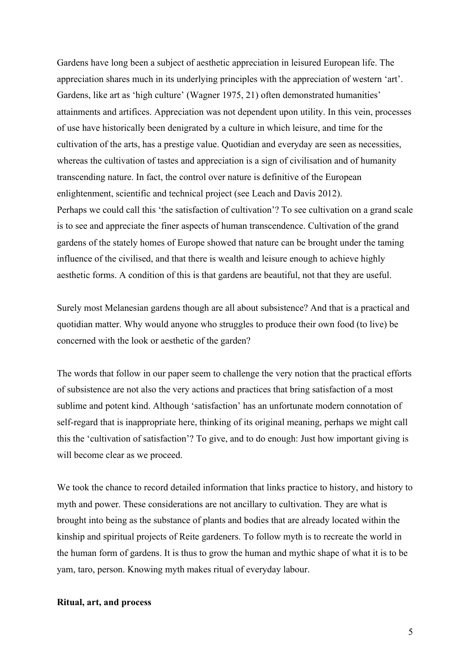Gardens have long been a subject of aesthetic appreciation in leisured European life. The appreciation shares much in its underlying principles with the appreciation of western 'art'. Gardens, like art as 'high culture' (Wagner 1975, 21) often demonstrated humanities' attainments and artifices. Appreciation was not dependent upon utility. In this vein, processes of use have historically been denigrated by a culture in which leisure, and time for the cultivation of the arts, has a prestige value. Quotidian and everyday are seen as necessities, whereas the cultivation of tastes and appreciation is a sign of civilisation and of humanity transcending nature. In fact, the control over nature is definitive of the European enlightenment, scientific and technical project (see Leach and Davis 2012). Perhaps we could call this 'the satisfaction of cultivation'? To see cultivation on a grand scale is to see and appreciate the finer aspects of human transcendence. Cultivation of the grand gardens of the stately homes of Europe showed that nature can be brought under the taming influence of the civilised, and that there is wealth and leisure enough to achieve highly aesthetic forms. A condition of this is that gardens are beautiful, not that they are useful.

Surely most Melanesian gardens though are all about subsistence? And that is a practical and quotidian matter. Why would anyone who struggles to produce their own food (to live) be concerned with the look or aesthetic of the garden?

The words that follow in our paper seem to challenge the very notion that the practical efforts of subsistence are not also the very actions and practices that bring satisfaction of a most sublime and potent kind. Although 'satisfaction' has an unfortunate modern connotation of self-regard that is inappropriate here, thinking of its original meaning, perhaps we might call this the 'cultivation of satisfaction'? To give, and to do enough: Just how important giving is will become clear as we proceed.

We took the chance to record detailed information that links practice to history, and history to myth and power. These considerations are not ancillary to cultivation. They are what is brought into being as the substance of plants and bodies that are already located within the kinship and spiritual projects of Reite gardeners. To follow myth is to recreate the world in the human form of gardens. It is thus to grow the human and mythic shape of what it is to be yam, taro, person. Knowing myth makes ritual of everyday labour.

### **Ritual, art, and process**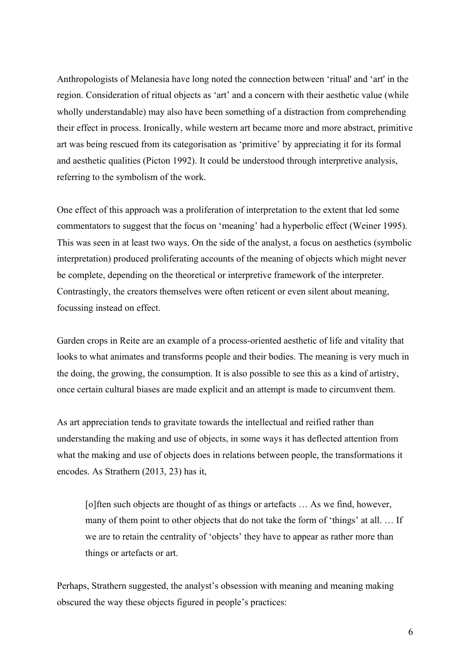Anthropologists of Melanesia have long noted the connection between 'ritual' and 'art' in the region. Consideration of ritual objects as 'art' and a concern with their aesthetic value (while wholly understandable) may also have been something of a distraction from comprehending their effect in process. Ironically, while western art became more and more abstract, primitive art was being rescued from its categorisation as 'primitive' by appreciating it for its formal and aesthetic qualities (Picton 1992). It could be understood through interpretive analysis, referring to the symbolism of the work.

One effect of this approach was a proliferation of interpretation to the extent that led some commentators to suggest that the focus on 'meaning' had a hyperbolic effect (Weiner 1995). This was seen in at least two ways. On the side of the analyst, a focus on aesthetics (symbolic interpretation) produced proliferating accounts of the meaning of objects which might never be complete, depending on the theoretical or interpretive framework of the interpreter. Contrastingly, the creators themselves were often reticent or even silent about meaning, focussing instead on effect.

Garden crops in Reite are an example of a process-oriented aesthetic of life and vitality that looks to what animates and transforms people and their bodies. The meaning is very much in the doing, the growing, the consumption. It is also possible to see this as a kind of artistry, once certain cultural biases are made explicit and an attempt is made to circumvent them.

As art appreciation tends to gravitate towards the intellectual and reified rather than understanding the making and use of objects, in some ways it has deflected attention from what the making and use of objects does in relations between people, the transformations it encodes. As Strathern (2013, 23) has it,

[o]ften such objects are thought of as things or artefacts … As we find, however, many of them point to other objects that do not take the form of 'things' at all. … If we are to retain the centrality of 'objects' they have to appear as rather more than things or artefacts or art.

Perhaps, Strathern suggested, the analyst's obsession with meaning and meaning making obscured the way these objects figured in people's practices: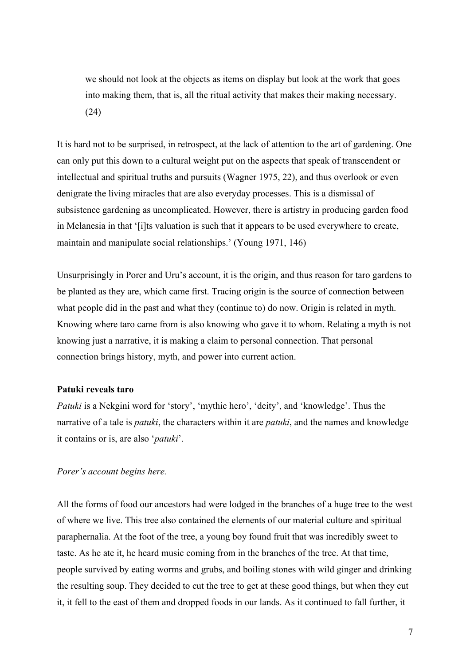we should not look at the objects as items on display but look at the work that goes into making them, that is, all the ritual activity that makes their making necessary. (24)

It is hard not to be surprised, in retrospect, at the lack of attention to the art of gardening. One can only put this down to a cultural weight put on the aspects that speak of transcendent or intellectual and spiritual truths and pursuits (Wagner 1975, 22), and thus overlook or even denigrate the living miracles that are also everyday processes. This is a dismissal of subsistence gardening as uncomplicated. However, there is artistry in producing garden food in Melanesia in that '[i]ts valuation is such that it appears to be used everywhere to create, maintain and manipulate social relationships.' (Young 1971, 146)

Unsurprisingly in Porer and Uru's account, it is the origin, and thus reason for taro gardens to be planted as they are, which came first. Tracing origin is the source of connection between what people did in the past and what they (continue to) do now. Origin is related in myth. Knowing where taro came from is also knowing who gave it to whom. Relating a myth is not knowing just a narrative, it is making a claim to personal connection. That personal connection brings history, myth, and power into current action.

#### **Patuki reveals taro**

*Patuki* is a Nekgini word for 'story', 'mythic hero', 'deity', and 'knowledge'. Thus the narrative of a tale is *patuki*, the characters within it are *patuki*, and the names and knowledge it contains or is, are also '*patuki*'.

### *Porer's account begins here.*

All the forms of food our ancestors had were lodged in the branches of a huge tree to the west of where we live. This tree also contained the elements of our material culture and spiritual paraphernalia. At the foot of the tree, a young boy found fruit that was incredibly sweet to taste. As he ate it, he heard music coming from in the branches of the tree. At that time, people survived by eating worms and grubs, and boiling stones with wild ginger and drinking the resulting soup. They decided to cut the tree to get at these good things, but when they cut it, it fell to the east of them and dropped foods in our lands. As it continued to fall further, it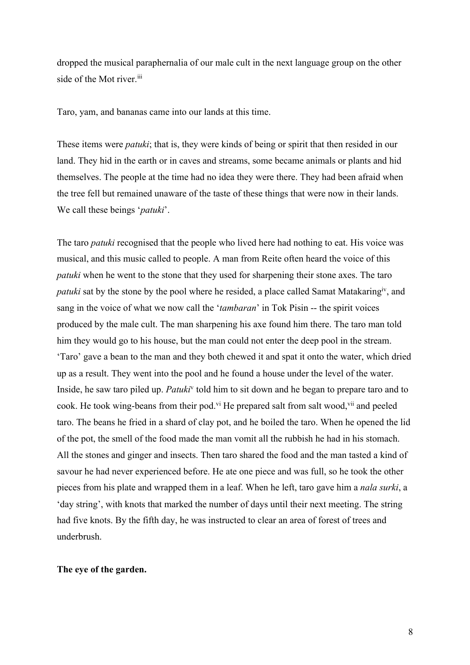dropped the musical paraphernalia of our male cult in the next language group on the other side of the Mot river.<sup>iii</sup>

Taro, yam, and bananas came into our lands at this time.

These items were *patuki*; that is, they were kinds of being or spirit that then resided in our land. They hid in the earth or in caves and streams, some became animals or plants and hid themselves. The people at the time had no idea they were there. They had been afraid when the tree fell but remained unaware of the taste of these things that were now in their lands. We call these beings '*patuki*'.

The taro *patuki* recognised that the people who lived here had nothing to eat. His voice was musical, and this music called to people. A man from Reite often heard the voice of this *patuki* when he went to the stone that they used for sharpening their stone axes. The taro *patuki* sat by the stone by the pool where he resided, a place called Samat Matakaring<sup>iv</sup>, and sang in the voice of what we now call the '*tambaran*' in Tok Pisin -- the spirit voices produced by the male cult. The man sharpening his axe found him there. The taro man told him they would go to his house, but the man could not enter the deep pool in the stream. 'Taro' gave a bean to the man and they both chewed it and spat it onto the water, which dried up as a result. They went into the pool and he found a house under the level of the water. Inside, he saw taro piled up. *Patuki*<sup>v</sup> told him to sit down and he began to prepare taro and to cook. He took wing-beans from their pod.<sup>vi</sup> He prepared salt from salt wood, vii and peeled taro. The beans he fried in a shard of clay pot, and he boiled the taro. When he opened the lid of the pot, the smell of the food made the man vomit all the rubbish he had in his stomach. All the stones and ginger and insects. Then taro shared the food and the man tasted a kind of savour he had never experienced before. He ate one piece and was full, so he took the other pieces from his plate and wrapped them in a leaf. When he left, taro gave him a *nala surki*, a 'day string', with knots that marked the number of days until their next meeting. The string had five knots. By the fifth day, he was instructed to clear an area of forest of trees and underbrush.

#### **The eye of the garden.**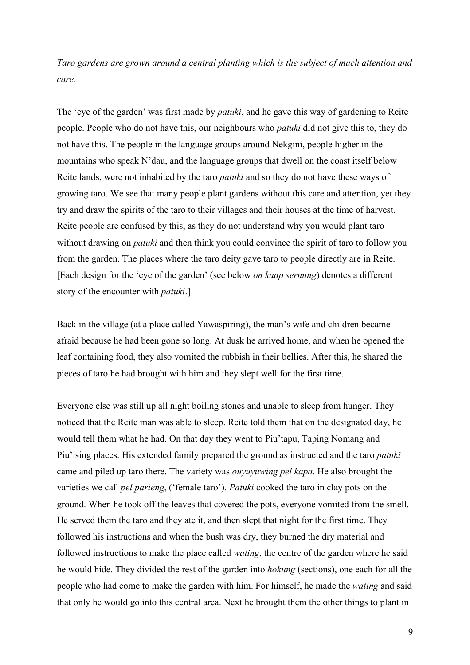*Taro gardens are grown around a central planting which is the subject of much attention and care.* 

The 'eye of the garden' was first made by *patuki*, and he gave this way of gardening to Reite people. People who do not have this, our neighbours who *patuki* did not give this to, they do not have this. The people in the language groups around Nekgini, people higher in the mountains who speak N'dau, and the language groups that dwell on the coast itself below Reite lands, were not inhabited by the taro *patuki* and so they do not have these ways of growing taro. We see that many people plant gardens without this care and attention, yet they try and draw the spirits of the taro to their villages and their houses at the time of harvest. Reite people are confused by this, as they do not understand why you would plant taro without drawing on *patuki* and then think you could convince the spirit of taro to follow you from the garden. The places where the taro deity gave taro to people directly are in Reite. [Each design for the 'eye of the garden' (see below *on kaap sernung*) denotes a different story of the encounter with *patuki*.]

Back in the village (at a place called Yawaspiring), the man's wife and children became afraid because he had been gone so long. At dusk he arrived home, and when he opened the leaf containing food, they also vomited the rubbish in their bellies. After this, he shared the pieces of taro he had brought with him and they slept well for the first time.

Everyone else was still up all night boiling stones and unable to sleep from hunger. They noticed that the Reite man was able to sleep. Reite told them that on the designated day, he would tell them what he had. On that day they went to Piu'tapu, Taping Nomang and Piu'ising places. His extended family prepared the ground as instructed and the taro *patuki* came and piled up taro there. The variety was *ouyuyuwing pel kapa*. He also brought the varieties we call *pel parieng*, ('female taro'). *Patuki* cooked the taro in clay pots on the ground. When he took off the leaves that covered the pots, everyone vomited from the smell. He served them the taro and they ate it, and then slept that night for the first time. They followed his instructions and when the bush was dry, they burned the dry material and followed instructions to make the place called *wating*, the centre of the garden where he said he would hide. They divided the rest of the garden into *hokung* (sections), one each for all the people who had come to make the garden with him. For himself, he made the *wating* and said that only he would go into this central area. Next he brought them the other things to plant in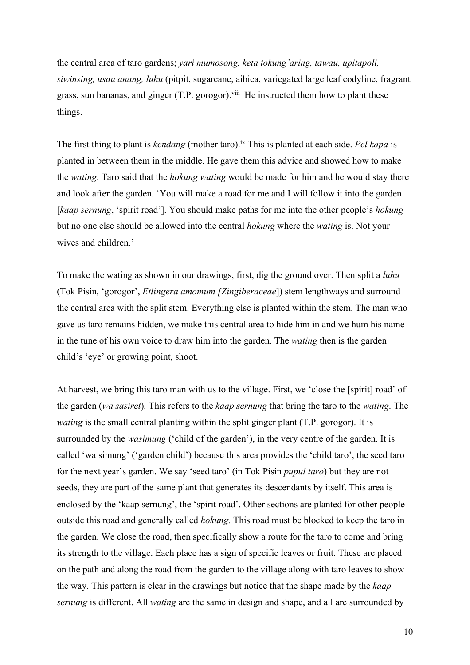the central area of taro gardens; *yari mumosong, keta tokung'aring, tawau, upitapoli, siwinsing, usau anang, luhu* (pitpit, sugarcane, aibica, variegated large leaf codyline, fragrant grass, sun bananas, and ginger (T.P. gorogor).<sup>viii</sup> He instructed them how to plant these things.

The first thing to plant is *kendang* (mother taro).ix This is planted at each side. *Pel kapa* is planted in between them in the middle. He gave them this advice and showed how to make the *wating*. Taro said that the *hokung wating* would be made for him and he would stay there and look after the garden. 'You will make a road for me and I will follow it into the garden [*kaap sernung*, 'spirit road']. You should make paths for me into the other people's *hokung*  but no one else should be allowed into the central *hokung* where the *wating* is. Not your wives and children.'

To make the wating as shown in our drawings, first, dig the ground over. Then split a *luhu* (Tok Pisin, 'gorogor', *Etlingera amomum [Zingiberaceae*]) stem lengthways and surround the central area with the split stem. Everything else is planted within the stem. The man who gave us taro remains hidden, we make this central area to hide him in and we hum his name in the tune of his own voice to draw him into the garden. The *wating* then is the garden child's 'eye' or growing point, shoot.

At harvest, we bring this taro man with us to the village. First, we 'close the [spirit] road' of the garden (*wa sasiret*)*.* This refers to the *kaap sernung* that bring the taro to the *wating*. The *wating* is the small central planting within the split ginger plant (T.P. gorogor). It is surrounded by the *wasimung* ('child of the garden'), in the very centre of the garden. It is called 'wa simung' ('garden child') because this area provides the 'child taro', the seed taro for the next year's garden. We say 'seed taro' (in Tok Pisin *pupul taro*) but they are not seeds, they are part of the same plant that generates its descendants by itself. This area is enclosed by the 'kaap sernung', the 'spirit road'. Other sections are planted for other people outside this road and generally called *hokung.* This road must be blocked to keep the taro in the garden. We close the road, then specifically show a route for the taro to come and bring its strength to the village. Each place has a sign of specific leaves or fruit. These are placed on the path and along the road from the garden to the village along with taro leaves to show the way. This pattern is clear in the drawings but notice that the shape made by the *kaap sernung* is different. All *wating* are the same in design and shape, and all are surrounded by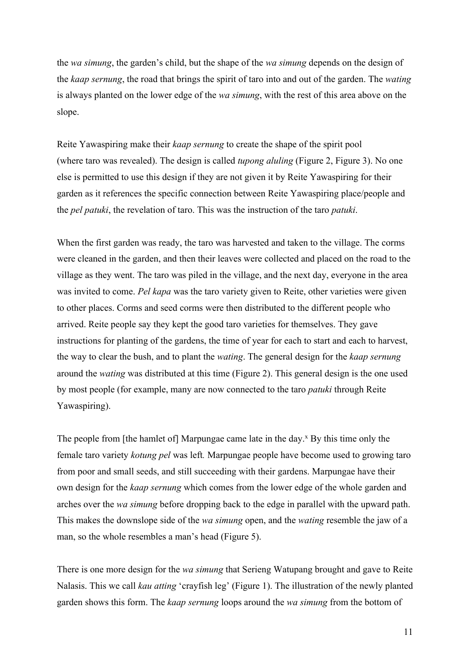the *wa simung*, the garden's child, but the shape of the *wa simung* depends on the design of the *kaap sernung*, the road that brings the spirit of taro into and out of the garden. The *wating* is always planted on the lower edge of the *wa simung*, with the rest of this area above on the slope.

Reite Yawaspiring make their *kaap sernung* to create the shape of the spirit pool (where taro was revealed). The design is called *tupong aluling* (Figure 2, Figure 3). No one else is permitted to use this design if they are not given it by Reite Yawaspiring for their garden as it references the specific connection between Reite Yawaspiring place/people and the *pel patuki*, the revelation of taro. This was the instruction of the taro *patuki*.

When the first garden was ready, the taro was harvested and taken to the village. The corms were cleaned in the garden, and then their leaves were collected and placed on the road to the village as they went. The taro was piled in the village, and the next day, everyone in the area was invited to come. *Pel kapa* was the taro variety given to Reite, other varieties were given to other places. Corms and seed corms were then distributed to the different people who arrived. Reite people say they kept the good taro varieties for themselves. They gave instructions for planting of the gardens, the time of year for each to start and each to harvest, the way to clear the bush, and to plant the *wating*. The general design for the *kaap sernung* around the *wating* was distributed at this time (Figure 2). This general design is the one used by most people (for example, many are now connected to the taro *patuki* through Reite Yawaspiring).

The people from [the hamlet of] Marpungae came late in the day. $^x$  By this time only the female taro variety *kotung pel* was left*.* Marpungae people have become used to growing taro from poor and small seeds, and still succeeding with their gardens. Marpungae have their own design for the *kaap sernung* which comes from the lower edge of the whole garden and arches over the *wa simung* before dropping back to the edge in parallel with the upward path. This makes the downslope side of the *wa simung* open, and the *wating* resemble the jaw of a man, so the whole resembles a man's head (Figure 5).

There is one more design for the *wa simung* that Serieng Watupang brought and gave to Reite Nalasis. This we call *kau atting* 'crayfish leg' (Figure 1). The illustration of the newly planted garden shows this form. The *kaap sernung* loops around the *wa simung* from the bottom of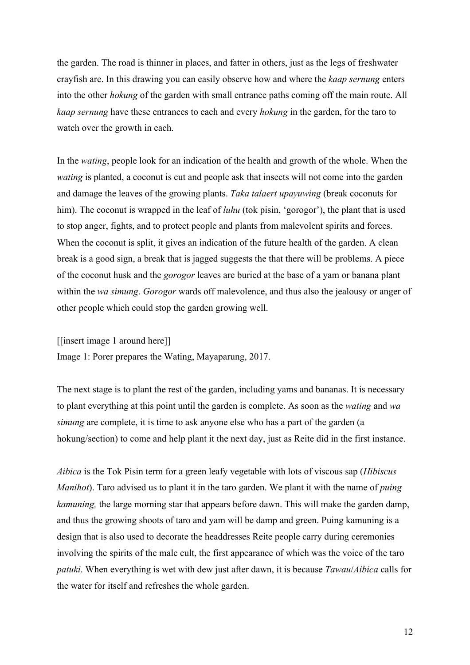the garden. The road is thinner in places, and fatter in others, just as the legs of freshwater crayfish are. In this drawing you can easily observe how and where the *kaap sernung* enters into the other *hokung* of the garden with small entrance paths coming off the main route. All *kaap sernung* have these entrances to each and every *hokung* in the garden, for the taro to watch over the growth in each.

In the *wating*, people look for an indication of the health and growth of the whole. When the *wating* is planted, a coconut is cut and people ask that insects will not come into the garden and damage the leaves of the growing plants. *Taka talaert upayuwing* (break coconuts for him). The coconut is wrapped in the leaf of *luhu* (tok pisin, 'gorogor'), the plant that is used to stop anger, fights, and to protect people and plants from malevolent spirits and forces. When the coconut is split, it gives an indication of the future health of the garden. A clean break is a good sign, a break that is jagged suggests the that there will be problems. A piece of the coconut husk and the *gorogor* leaves are buried at the base of a yam or banana plant within the *wa simung*. *Gorogor* wards off malevolence, and thus also the jealousy or anger of other people which could stop the garden growing well.

[[insert image 1 around here]]

Image 1: Porer prepares the Wating, Mayaparung, 2017.

The next stage is to plant the rest of the garden, including yams and bananas. It is necessary to plant everything at this point until the garden is complete. As soon as the *wating* and *wa simung* are complete, it is time to ask anyone else who has a part of the garden (a hokung/section) to come and help plant it the next day, just as Reite did in the first instance.

*Aibica* is the Tok Pisin term for a green leafy vegetable with lots of viscous sap (*Hibiscus Manihot*). Taro advised us to plant it in the taro garden. We plant it with the name of *puing kamuning,* the large morning star that appears before dawn. This will make the garden damp, and thus the growing shoots of taro and yam will be damp and green. Puing kamuning is a design that is also used to decorate the headdresses Reite people carry during ceremonies involving the spirits of the male cult, the first appearance of which was the voice of the taro *patuki*. When everything is wet with dew just after dawn, it is because *Tawau*/*Aibica* calls for the water for itself and refreshes the whole garden.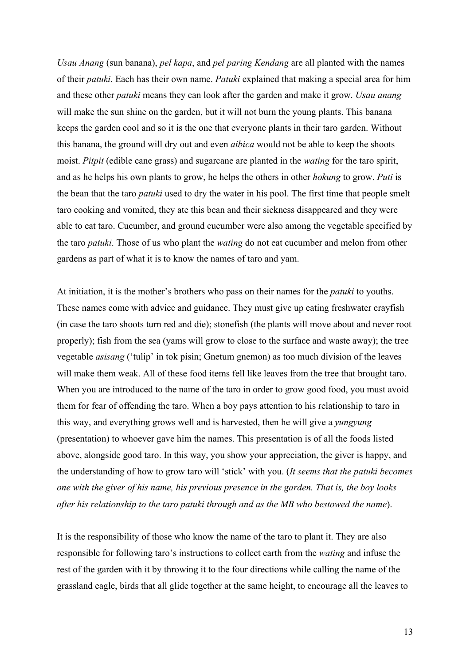*Usau Anang* (sun banana), *pel kapa*, and *pel paring Kendang* are all planted with the names of their *patuki*. Each has their own name. *Patuki* explained that making a special area for him and these other *patuki* means they can look after the garden and make it grow. *Usau anang* will make the sun shine on the garden, but it will not burn the young plants. This banana keeps the garden cool and so it is the one that everyone plants in their taro garden. Without this banana, the ground will dry out and even *aibica* would not be able to keep the shoots moist. *Pitpit* (edible cane grass) and sugarcane are planted in the *wating* for the taro spirit, and as he helps his own plants to grow, he helps the others in other *hokung* to grow. *Puti* is the bean that the taro *patuki* used to dry the water in his pool. The first time that people smelt taro cooking and vomited, they ate this bean and their sickness disappeared and they were able to eat taro. Cucumber, and ground cucumber were also among the vegetable specified by the taro *patuki*. Those of us who plant the *wating* do not eat cucumber and melon from other gardens as part of what it is to know the names of taro and yam.

At initiation, it is the mother's brothers who pass on their names for the *patuki* to youths. These names come with advice and guidance. They must give up eating freshwater crayfish (in case the taro shoots turn red and die); stonefish (the plants will move about and never root properly); fish from the sea (yams will grow to close to the surface and waste away); the tree vegetable *asisang* ('tulip' in tok pisin; Gnetum gnemon) as too much division of the leaves will make them weak. All of these food items fell like leaves from the tree that brought taro. When you are introduced to the name of the taro in order to grow good food, you must avoid them for fear of offending the taro. When a boy pays attention to his relationship to taro in this way, and everything grows well and is harvested, then he will give a *yungyung*  (presentation) to whoever gave him the names. This presentation is of all the foods listed above, alongside good taro. In this way, you show your appreciation, the giver is happy, and the understanding of how to grow taro will 'stick' with you. (*It seems that the patuki becomes one with the giver of his name, his previous presence in the garden. That is, the boy looks after his relationship to the taro patuki through and as the MB who bestowed the name*).

It is the responsibility of those who know the name of the taro to plant it. They are also responsible for following taro's instructions to collect earth from the *wating* and infuse the rest of the garden with it by throwing it to the four directions while calling the name of the grassland eagle, birds that all glide together at the same height, to encourage all the leaves to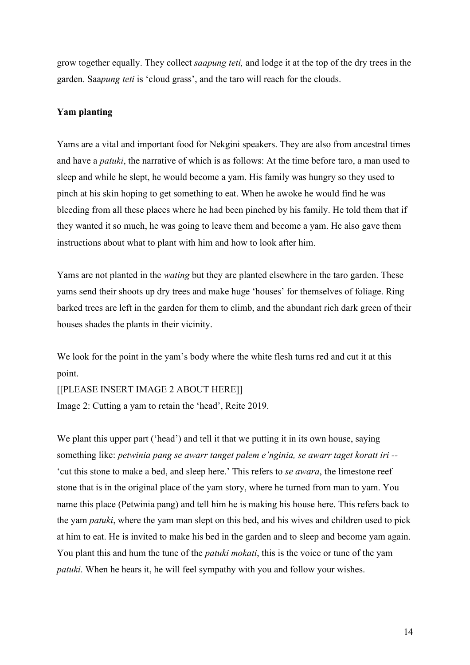grow together equally. They collect *saapung teti,* and lodge it at the top of the dry trees in the garden. Saa*pung teti* is 'cloud grass', and the taro will reach for the clouds.

### **Yam planting**

Yams are a vital and important food for Nekgini speakers. They are also from ancestral times and have a *patuki*, the narrative of which is as follows: At the time before taro, a man used to sleep and while he slept, he would become a yam. His family was hungry so they used to pinch at his skin hoping to get something to eat. When he awoke he would find he was bleeding from all these places where he had been pinched by his family. He told them that if they wanted it so much, he was going to leave them and become a yam. He also gave them instructions about what to plant with him and how to look after him.

Yams are not planted in the *wating* but they are planted elsewhere in the taro garden. These yams send their shoots up dry trees and make huge 'houses' for themselves of foliage. Ring barked trees are left in the garden for them to climb, and the abundant rich dark green of their houses shades the plants in their vicinity.

We look for the point in the yam's body where the white flesh turns red and cut it at this point.

[[PLEASE INSERT IMAGE 2 ABOUT HERE]]

Image 2: Cutting a yam to retain the 'head', Reite 2019.

We plant this upper part ('head') and tell it that we putting it in its own house, saying something like: *petwinia pang se awarr tanget palem e'nginia, se awarr taget koratt iri --* 'cut this stone to make a bed, and sleep here.' This refers to *se awara*, the limestone reef stone that is in the original place of the yam story, where he turned from man to yam. You name this place (Petwinia pang) and tell him he is making his house here. This refers back to the yam *patuki*, where the yam man slept on this bed, and his wives and children used to pick at him to eat. He is invited to make his bed in the garden and to sleep and become yam again. You plant this and hum the tune of the *patuki mokati*, this is the voice or tune of the yam *patuki*. When he hears it, he will feel sympathy with you and follow your wishes.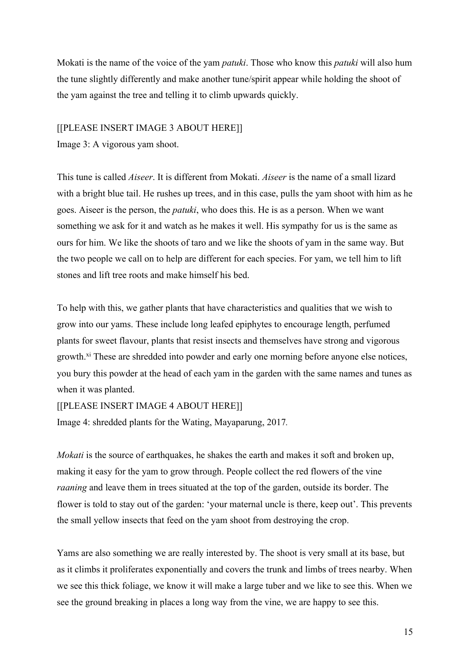Mokati is the name of the voice of the yam *patuki*. Those who know this *patuki* will also hum the tune slightly differently and make another tune/spirit appear while holding the shoot of the yam against the tree and telling it to climb upwards quickly.

#### [[PLEASE INSERT IMAGE 3 ABOUT HERE]]

Image 3: A vigorous yam shoot.

This tune is called *Aiseer*. It is different from Mokati. *Aiseer* is the name of a small lizard with a bright blue tail. He rushes up trees, and in this case, pulls the yam shoot with him as he goes. Aiseer is the person, the *patuki*, who does this. He is as a person. When we want something we ask for it and watch as he makes it well. His sympathy for us is the same as ours for him. We like the shoots of taro and we like the shoots of yam in the same way. But the two people we call on to help are different for each species. For yam, we tell him to lift stones and lift tree roots and make himself his bed.

To help with this, we gather plants that have characteristics and qualities that we wish to grow into our yams. These include long leafed epiphytes to encourage length, perfumed plants for sweet flavour, plants that resist insects and themselves have strong and vigorous growth.<sup>xi</sup> These are shredded into powder and early one morning before anyone else notices, you bury this powder at the head of each yam in the garden with the same names and tunes as when it was planted.

[[PLEASE INSERT IMAGE 4 ABOUT HERE]]

Image 4: shredded plants for the Wating, Mayaparung, 2017*.* 

*Mokati* is the source of earthquakes, he shakes the earth and makes it soft and broken up, making it easy for the yam to grow through. People collect the red flowers of the vine *raaning* and leave them in trees situated at the top of the garden, outside its border. The flower is told to stay out of the garden: 'your maternal uncle is there, keep out'. This prevents the small yellow insects that feed on the yam shoot from destroying the crop.

Yams are also something we are really interested by. The shoot is very small at its base, but as it climbs it proliferates exponentially and covers the trunk and limbs of trees nearby. When we see this thick foliage, we know it will make a large tuber and we like to see this. When we see the ground breaking in places a long way from the vine, we are happy to see this.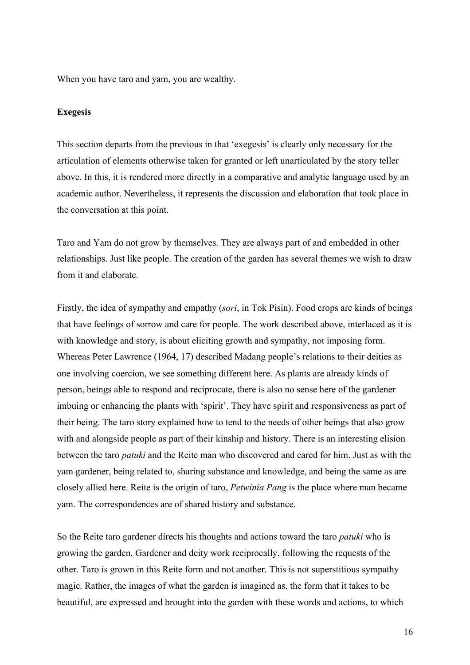When you have taro and yam, you are wealthy.

#### **Exegesis**

This section departs from the previous in that 'exegesis' is clearly only necessary for the articulation of elements otherwise taken for granted or left unarticulated by the story teller above. In this, it is rendered more directly in a comparative and analytic language used by an academic author. Nevertheless, it represents the discussion and elaboration that took place in the conversation at this point.

Taro and Yam do not grow by themselves. They are always part of and embedded in other relationships. Just like people. The creation of the garden has several themes we wish to draw from it and elaborate.

Firstly, the idea of sympathy and empathy (*sori*, in Tok Pisin). Food crops are kinds of beings that have feelings of sorrow and care for people. The work described above, interlaced as it is with knowledge and story, is about eliciting growth and sympathy, not imposing form. Whereas Peter Lawrence (1964, 17) described Madang people's relations to their deities as one involving coercion, we see something different here. As plants are already kinds of person, beings able to respond and reciprocate, there is also no sense here of the gardener imbuing or enhancing the plants with 'spirit'. They have spirit and responsiveness as part of their being. The taro story explained how to tend to the needs of other beings that also grow with and alongside people as part of their kinship and history. There is an interesting elision between the taro *patuki* and the Reite man who discovered and cared for him. Just as with the yam gardener, being related to, sharing substance and knowledge, and being the same as are closely allied here. Reite is the origin of taro, *Petwinia Pang* is the place where man became yam. The correspondences are of shared history and substance.

So the Reite taro gardener directs his thoughts and actions toward the taro *patuki* who is growing the garden. Gardener and deity work reciprocally, following the requests of the other. Taro is grown in this Reite form and not another. This is not superstitious sympathy magic. Rather, the images of what the garden is imagined as, the form that it takes to be beautiful, are expressed and brought into the garden with these words and actions, to which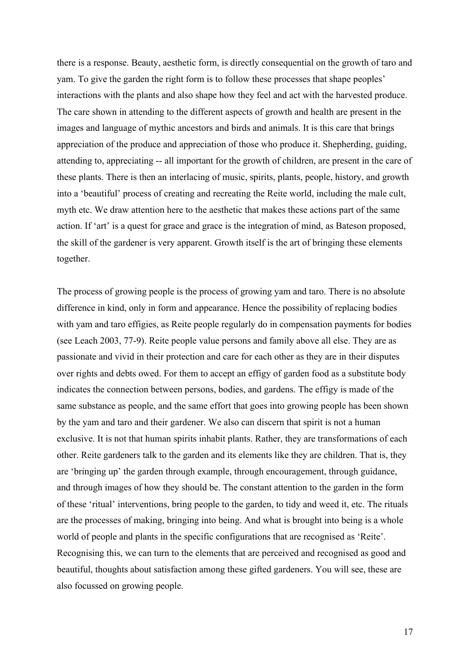there is a response. Beauty, aesthetic form, is directly consequential on the growth of taro and yam. To give the garden the right form is to follow these processes that shape peoples' interactions with the plants and also shape how they feel and act with the harvested produce. The care shown in attending to the different aspects of growth and health are present in the images and language of mythic ancestors and birds and animals. It is this care that brings appreciation of the produce and appreciation of those who produce it. Shepherding, guiding, attending to, appreciating -- all important for the growth of children, are present in the care of these plants. There is then an interlacing of music, spirits, plants, people, history, and growth into a 'beautiful' process of creating and recreating the Reite world, including the male cult, myth etc. We draw attention here to the aesthetic that makes these actions part of the same action. If 'art' is a quest for grace and grace is the integration of mind, as Bateson proposed, the skill of the gardener is very apparent. Growth itself is the art of bringing these elements together.

The process of growing people is the process of growing yam and taro. There is no absolute difference in kind, only in form and appearance. Hence the possibility of replacing bodies with yam and taro effigies, as Reite people regularly do in compensation payments for bodies (see Leach 2003, 77-9). Reite people value persons and family above all else. They are as passionate and vivid in their protection and care for each other as they are in their disputes over rights and debts owed. For them to accept an effigy of garden food as a substitute body indicates the connection between persons, bodies, and gardens. The effigy is made of the same substance as people, and the same effort that goes into growing people has been shown by the yam and taro and their gardener. We also can discern that spirit is not a human exclusive. It is not that human spirits inhabit plants. Rather, they are transformations of each other. Reite gardeners talk to the garden and its elements like they are children. That is, they are 'bringing up' the garden through example, through encouragement, through guidance, and through images of how they should be. The constant attention to the garden in the form of these 'ritual' interventions, bring people to the garden, to tidy and weed it, etc. The rituals are the processes of making, bringing into being. And what is brought into being is a whole world of people and plants in the specific configurations that are recognised as 'Reite'. Recognising this, we can turn to the elements that are perceived and recognised as good and beautiful, thoughts about satisfaction among these gifted gardeners. You will see, these are also focussed on growing people.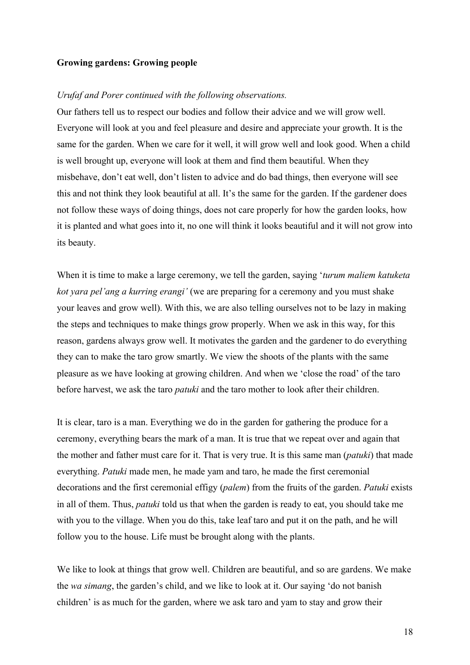#### **Growing gardens: Growing people**

#### *Urufaf and Porer continued with the following observations.*

Our fathers tell us to respect our bodies and follow their advice and we will grow well. Everyone will look at you and feel pleasure and desire and appreciate your growth. It is the same for the garden. When we care for it well, it will grow well and look good. When a child is well brought up, everyone will look at them and find them beautiful. When they misbehave, don't eat well, don't listen to advice and do bad things, then everyone will see this and not think they look beautiful at all. It's the same for the garden. If the gardener does not follow these ways of doing things, does not care properly for how the garden looks, how it is planted and what goes into it, no one will think it looks beautiful and it will not grow into its beauty.

When it is time to make a large ceremony, we tell the garden, saying '*turum maliem katuketa kot yara pel'ang a kurring erangi'* (we are preparing for a ceremony and you must shake your leaves and grow well). With this, we are also telling ourselves not to be lazy in making the steps and techniques to make things grow properly. When we ask in this way, for this reason, gardens always grow well. It motivates the garden and the gardener to do everything they can to make the taro grow smartly. We view the shoots of the plants with the same pleasure as we have looking at growing children. And when we 'close the road' of the taro before harvest, we ask the taro *patuki* and the taro mother to look after their children.

It is clear, taro is a man. Everything we do in the garden for gathering the produce for a ceremony, everything bears the mark of a man. It is true that we repeat over and again that the mother and father must care for it. That is very true. It is this same man (*patuki*) that made everything. *Patuki* made men, he made yam and taro, he made the first ceremonial decorations and the first ceremonial effigy (*palem*) from the fruits of the garden. *Patuki* exists in all of them. Thus, *patuki* told us that when the garden is ready to eat, you should take me with you to the village. When you do this, take leaf taro and put it on the path, and he will follow you to the house. Life must be brought along with the plants.

We like to look at things that grow well. Children are beautiful, and so are gardens. We make the *wa simang*, the garden's child, and we like to look at it. Our saying 'do not banish children' is as much for the garden, where we ask taro and yam to stay and grow their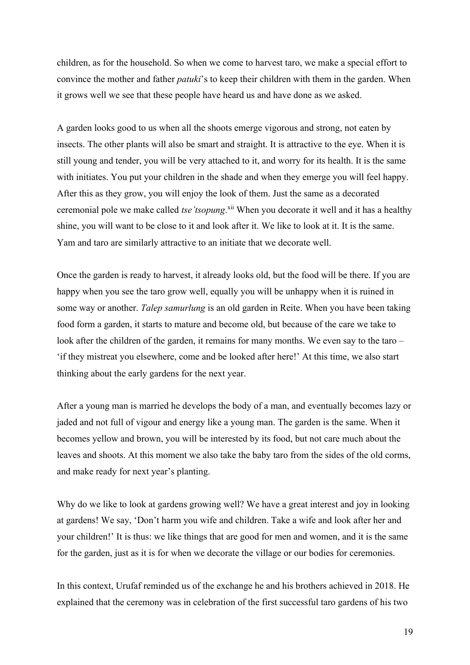children, as for the household. So when we come to harvest taro, we make a special effort to convince the mother and father *patuki*'s to keep their children with them in the garden. When it grows well we see that these people have heard us and have done as we asked.

A garden looks good to us when all the shoots emerge vigorous and strong, not eaten by insects. The other plants will also be smart and straight. It is attractive to the eye. When it is still young and tender, you will be very attached to it, and worry for its health. It is the same with initiates. You put your children in the shade and when they emerge you will feel happy. After this as they grow, you will enjoy the look of them. Just the same as a decorated ceremonial pole we make called *tse'tsopung*. xii When you decorate it well and it has a healthy shine, you will want to be close to it and look after it. We like to look at it. It is the same. Yam and taro are similarly attractive to an initiate that we decorate well.

Once the garden is ready to harvest, it already looks old, but the food will be there. If you are happy when you see the taro grow well, equally you will be unhappy when it is ruined in some way or another. *Talep samurlung* is an old garden in Reite. When you have been taking food form a garden, it starts to mature and become old, but because of the care we take to look after the children of the garden, it remains for many months. We even say to the taro – 'if they mistreat you elsewhere, come and be looked after here!' At this time, we also start thinking about the early gardens for the next year.

After a young man is married he develops the body of a man, and eventually becomes lazy or jaded and not full of vigour and energy like a young man. The garden is the same. When it becomes yellow and brown, you will be interested by its food, but not care much about the leaves and shoots. At this moment we also take the baby taro from the sides of the old corms, and make ready for next year's planting.

Why do we like to look at gardens growing well? We have a great interest and joy in looking at gardens! We say, 'Don't harm you wife and children. Take a wife and look after her and your children!' It is thus: we like things that are good for men and women, and it is the same for the garden, just as it is for when we decorate the village or our bodies for ceremonies.

In this context, Urufaf reminded us of the exchange he and his brothers achieved in 2018. He explained that the ceremony was in celebration of the first successful taro gardens of his two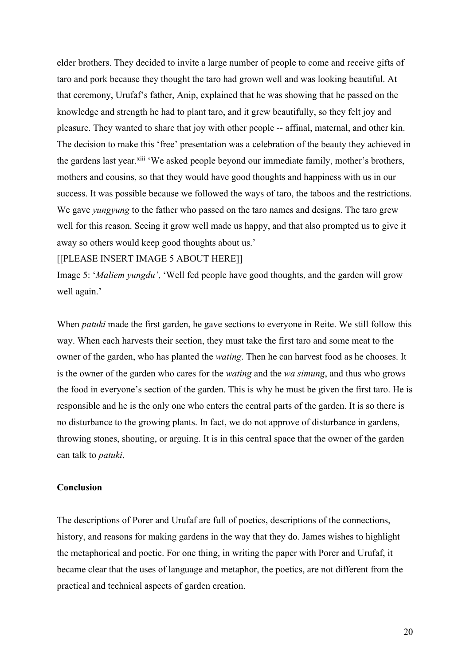elder brothers. They decided to invite a large number of people to come and receive gifts of taro and pork because they thought the taro had grown well and was looking beautiful. At that ceremony, Urufaf's father, Anip, explained that he was showing that he passed on the knowledge and strength he had to plant taro, and it grew beautifully, so they felt joy and pleasure. They wanted to share that joy with other people -- affinal, maternal, and other kin. The decision to make this 'free' presentation was a celebration of the beauty they achieved in the gardens last year.<sup>xiii</sup> 'We asked people beyond our immediate family, mother's brothers, mothers and cousins, so that they would have good thoughts and happiness with us in our success. It was possible because we followed the ways of taro, the taboos and the restrictions. We gave *yungyung* to the father who passed on the taro names and designs. The taro grew well for this reason. Seeing it grow well made us happy, and that also prompted us to give it away so others would keep good thoughts about us.'

[[PLEASE INSERT IMAGE 5 ABOUT HERE]]

Image 5: '*Maliem yungdu'*, 'Well fed people have good thoughts, and the garden will grow well again.'

When *patuki* made the first garden, he gave sections to everyone in Reite. We still follow this way. When each harvests their section, they must take the first taro and some meat to the owner of the garden, who has planted the *wating*. Then he can harvest food as he chooses. It is the owner of the garden who cares for the *wating* and the *wa simung*, and thus who grows the food in everyone's section of the garden. This is why he must be given the first taro. He is responsible and he is the only one who enters the central parts of the garden. It is so there is no disturbance to the growing plants. In fact, we do not approve of disturbance in gardens, throwing stones, shouting, or arguing. It is in this central space that the owner of the garden can talk to *patuki*.

#### **Conclusion**

The descriptions of Porer and Urufaf are full of poetics, descriptions of the connections, history, and reasons for making gardens in the way that they do. James wishes to highlight the metaphorical and poetic. For one thing, in writing the paper with Porer and Urufaf, it became clear that the uses of language and metaphor, the poetics, are not different from the practical and technical aspects of garden creation.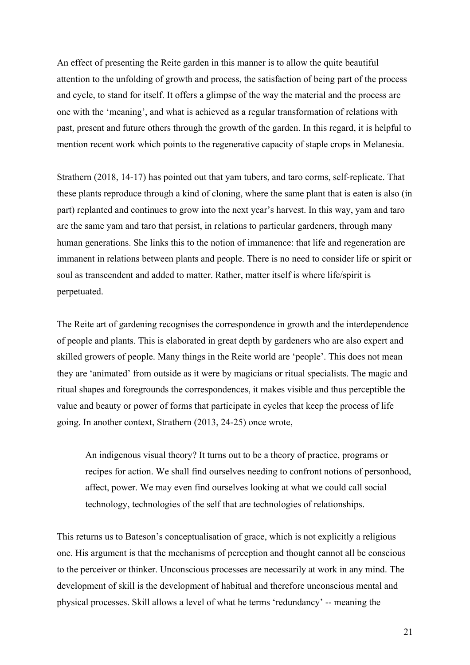An effect of presenting the Reite garden in this manner is to allow the quite beautiful attention to the unfolding of growth and process, the satisfaction of being part of the process and cycle, to stand for itself. It offers a glimpse of the way the material and the process are one with the 'meaning', and what is achieved as a regular transformation of relations with past, present and future others through the growth of the garden. In this regard, it is helpful to mention recent work which points to the regenerative capacity of staple crops in Melanesia.

Strathern (2018, 14-17) has pointed out that yam tubers, and taro corms, self-replicate. That these plants reproduce through a kind of cloning, where the same plant that is eaten is also (in part) replanted and continues to grow into the next year's harvest. In this way, yam and taro are the same yam and taro that persist, in relations to particular gardeners, through many human generations. She links this to the notion of immanence: that life and regeneration are immanent in relations between plants and people. There is no need to consider life or spirit or soul as transcendent and added to matter. Rather, matter itself is where life/spirit is perpetuated.

The Reite art of gardening recognises the correspondence in growth and the interdependence of people and plants. This is elaborated in great depth by gardeners who are also expert and skilled growers of people. Many things in the Reite world are 'people'. This does not mean they are 'animated' from outside as it were by magicians or ritual specialists. The magic and ritual shapes and foregrounds the correspondences, it makes visible and thus perceptible the value and beauty or power of forms that participate in cycles that keep the process of life going. In another context, Strathern (2013, 24-25) once wrote,

An indigenous visual theory? It turns out to be a theory of practice, programs or recipes for action. We shall find ourselves needing to confront notions of personhood, affect, power. We may even find ourselves looking at what we could call social technology, technologies of the self that are technologies of relationships.

This returns us to Bateson's conceptualisation of grace, which is not explicitly a religious one. His argument is that the mechanisms of perception and thought cannot all be conscious to the perceiver or thinker. Unconscious processes are necessarily at work in any mind. The development of skill is the development of habitual and therefore unconscious mental and physical processes. Skill allows a level of what he terms 'redundancy' -- meaning the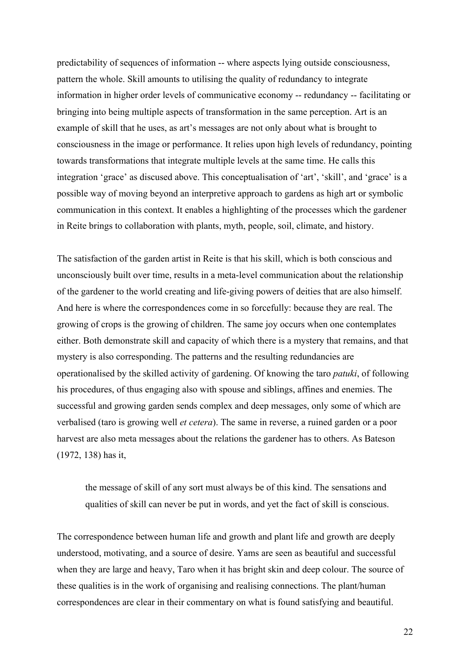predictability of sequences of information -- where aspects lying outside consciousness, pattern the whole. Skill amounts to utilising the quality of redundancy to integrate information in higher order levels of communicative economy -- redundancy -- facilitating or bringing into being multiple aspects of transformation in the same perception. Art is an example of skill that he uses, as art's messages are not only about what is brought to consciousness in the image or performance. It relies upon high levels of redundancy, pointing towards transformations that integrate multiple levels at the same time. He calls this integration 'grace' as discused above. This conceptualisation of 'art', 'skill', and 'grace' is a possible way of moving beyond an interpretive approach to gardens as high art or symbolic communication in this context. It enables a highlighting of the processes which the gardener in Reite brings to collaboration with plants, myth, people, soil, climate, and history.

The satisfaction of the garden artist in Reite is that his skill, which is both conscious and unconsciously built over time, results in a meta-level communication about the relationship of the gardener to the world creating and life-giving powers of deities that are also himself. And here is where the correspondences come in so forcefully: because they are real. The growing of crops is the growing of children. The same joy occurs when one contemplates either. Both demonstrate skill and capacity of which there is a mystery that remains, and that mystery is also corresponding. The patterns and the resulting redundancies are operationalised by the skilled activity of gardening. Of knowing the taro *patuki*, of following his procedures, of thus engaging also with spouse and siblings, affines and enemies. The successful and growing garden sends complex and deep messages, only some of which are verbalised (taro is growing well *et cetera*). The same in reverse, a ruined garden or a poor harvest are also meta messages about the relations the gardener has to others. As Bateson (1972, 138) has it,

the message of skill of any sort must always be of this kind. The sensations and qualities of skill can never be put in words, and yet the fact of skill is conscious.

The correspondence between human life and growth and plant life and growth are deeply understood, motivating, and a source of desire. Yams are seen as beautiful and successful when they are large and heavy, Taro when it has bright skin and deep colour. The source of these qualities is in the work of organising and realising connections. The plant/human correspondences are clear in their commentary on what is found satisfying and beautiful.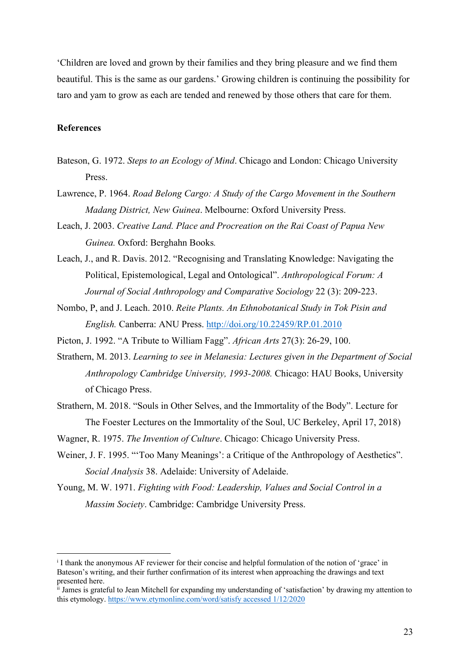'Children are loved and grown by their families and they bring pleasure and we find them beautiful. This is the same as our gardens.' Growing children is continuing the possibility for taro and yam to grow as each are tended and renewed by those others that care for them.

#### **References**

- Bateson, G. 1972. *Steps to an Ecology of Mind*. Chicago and London: Chicago University Press.
- Lawrence, P. 1964. *Road Belong Cargo: A Study of the Cargo Movement in the Southern Madang District, New Guinea*. Melbourne: Oxford University Press.
- Leach, J. 2003. *Creative Land. Place and Procreation on the Rai Coast of Papua New Guinea.* Oxford: Berghahn Books*.*
- Leach, J., and R. Davis. 2012. "Recognising and Translating Knowledge: Navigating the Political, Epistemological, Legal and Ontological". *Anthropological Forum: A Journal of Social Anthropology and Comparative Sociology* 22 (3): 209-223.
- Nombo, P, and J. Leach. 2010. *Reite Plants. An Ethnobotanical Study in Tok Pisin and English.* Canberra: ANU Press. http://doi.org/10.22459/RP.01.2010
- Picton, J. 1992. "A Tribute to William Fagg". *African Arts* 27(3): 26-29, 100.
- Strathern, M. 2013. *Learning to see in Melanesia: Lectures given in the Department of Social Anthropology Cambridge University, 1993-2008.* Chicago: HAU Books, University of Chicago Press.
- Strathern, M. 2018. "Souls in Other Selves, and the Immortality of the Body". Lecture for The Foester Lectures on the Immortality of the Soul, UC Berkeley, April 17, 2018)
- Wagner, R. 1975. *The Invention of Culture*. Chicago: Chicago University Press.
- Weiner, J. F. 1995. "'Too Many Meanings': a Critique of the Anthropology of Aesthetics". *Social Analysis* 38. Adelaide: University of Adelaide.
- Young, M. W. 1971. *Fighting with Food: Leadership, Values and Social Control in a Massim Society*. Cambridge: Cambridge University Press.

<sup>i</sup> I thank the anonymous AF reviewer for their concise and helpful formulation of the notion of 'grace' in Bateson's writing, and their further confirmation of its interest when approaching the drawings and text presented here.

ii James is grateful to Jean Mitchell for expanding my understanding of 'satisfaction' by drawing my attention to this etymology. https://www.etymonline.com/word/satisfy accessed 1/12/2020